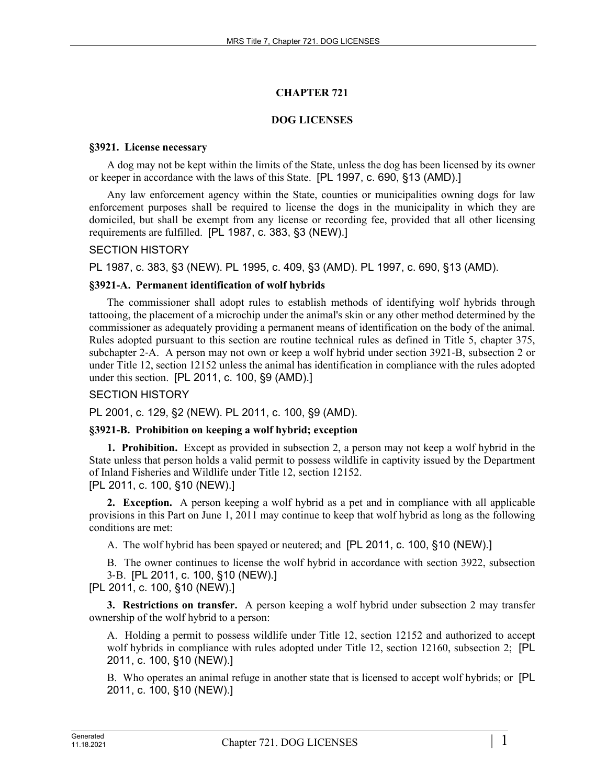# **CHAPTER 721**

## **DOG LICENSES**

#### **§3921. License necessary**

A dog may not be kept within the limits of the State, unless the dog has been licensed by its owner or keeper in accordance with the laws of this State. [PL 1997, c. 690, §13 (AMD).]

Any law enforcement agency within the State, counties or municipalities owning dogs for law enforcement purposes shall be required to license the dogs in the municipality in which they are domiciled, but shall be exempt from any license or recording fee, provided that all other licensing requirements are fulfilled. [PL 1987, c. 383, §3 (NEW).]

## SECTION HISTORY

PL 1987, c. 383, §3 (NEW). PL 1995, c. 409, §3 (AMD). PL 1997, c. 690, §13 (AMD).

## **§3921-A. Permanent identification of wolf hybrids**

The commissioner shall adopt rules to establish methods of identifying wolf hybrids through tattooing, the placement of a microchip under the animal's skin or any other method determined by the commissioner as adequately providing a permanent means of identification on the body of the animal. Rules adopted pursuant to this section are routine technical rules as defined in Title 5, chapter 375, subchapter 2‑A. A person may not own or keep a wolf hybrid under section 3921‑B, subsection 2 or under Title 12, section 12152 unless the animal has identification in compliance with the rules adopted under this section. [PL 2011, c. 100, §9 (AMD).]

# SECTION HISTORY

PL 2001, c. 129, §2 (NEW). PL 2011, c. 100, §9 (AMD).

# **§3921-B. Prohibition on keeping a wolf hybrid; exception**

**1. Prohibition.** Except as provided in subsection 2, a person may not keep a wolf hybrid in the State unless that person holds a valid permit to possess wildlife in captivity issued by the Department of Inland Fisheries and Wildlife under Title 12, section 12152. [PL 2011, c. 100, §10 (NEW).]

**2. Exception.** A person keeping a wolf hybrid as a pet and in compliance with all applicable provisions in this Part on June 1, 2011 may continue to keep that wolf hybrid as long as the following conditions are met:

A. The wolf hybrid has been spayed or neutered; and [PL 2011, c. 100, §10 (NEW).]

B. The owner continues to license the wolf hybrid in accordance with section 3922, subsection 3‑B. [PL 2011, c. 100, §10 (NEW).]

[PL 2011, c. 100, §10 (NEW).]

**3. Restrictions on transfer.** A person keeping a wolf hybrid under subsection 2 may transfer ownership of the wolf hybrid to a person:

A. Holding a permit to possess wildlife under Title 12, section 12152 and authorized to accept wolf hybrids in compliance with rules adopted under Title 12, section 12160, subsection 2; [PL 2011, c. 100, §10 (NEW).]

B. Who operates an animal refuge in another state that is licensed to accept wolf hybrids; or [PL 2011, c. 100, §10 (NEW).]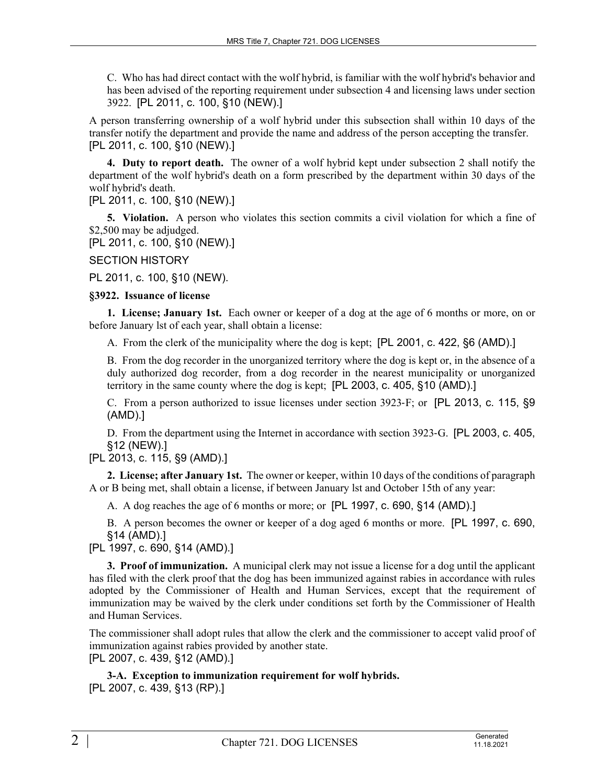C. Who has had direct contact with the wolf hybrid, is familiar with the wolf hybrid's behavior and has been advised of the reporting requirement under subsection 4 and licensing laws under section 3922. [PL 2011, c. 100, §10 (NEW).]

A person transferring ownership of a wolf hybrid under this subsection shall within 10 days of the transfer notify the department and provide the name and address of the person accepting the transfer. [PL 2011, c. 100, §10 (NEW).]

**4. Duty to report death.** The owner of a wolf hybrid kept under subsection 2 shall notify the department of the wolf hybrid's death on a form prescribed by the department within 30 days of the wolf hybrid's death.

[PL 2011, c. 100, §10 (NEW).]

**5. Violation.** A person who violates this section commits a civil violation for which a fine of \$2,500 may be adjudged.

[PL 2011, c. 100, §10 (NEW).]

SECTION HISTORY

PL 2011, c. 100, §10 (NEW).

#### **§3922. Issuance of license**

**1. License; January 1st.** Each owner or keeper of a dog at the age of 6 months or more, on or before January lst of each year, shall obtain a license:

A. From the clerk of the municipality where the dog is kept; [PL 2001, c. 422, §6 (AMD).]

B. From the dog recorder in the unorganized territory where the dog is kept or, in the absence of a duly authorized dog recorder, from a dog recorder in the nearest municipality or unorganized territory in the same county where the dog is kept; [PL 2003, c. 405, §10 (AMD).]

C. From a person authorized to issue licenses under section 3923‑F; or [PL 2013, c. 115, §9 (AMD).]

D. From the department using the Internet in accordance with section 3923‑G. [PL 2003, c. 405, §12 (NEW).]

[PL 2013, c. 115, §9 (AMD).]

**2. License; after January 1st.** The owner or keeper, within 10 days of the conditions of paragraph A or B being met, shall obtain a license, if between January lst and October 15th of any year:

A. A dog reaches the age of 6 months or more; or [PL 1997, c. 690, §14 (AMD).]

B. A person becomes the owner or keeper of a dog aged 6 months or more. [PL 1997, c. 690, §14 (AMD).]

[PL 1997, c. 690, §14 (AMD).]

**3. Proof of immunization.** A municipal clerk may not issue a license for a dog until the applicant has filed with the clerk proof that the dog has been immunized against rabies in accordance with rules adopted by the Commissioner of Health and Human Services, except that the requirement of immunization may be waived by the clerk under conditions set forth by the Commissioner of Health and Human Services.

The commissioner shall adopt rules that allow the clerk and the commissioner to accept valid proof of immunization against rabies provided by another state. [PL 2007, c. 439, §12 (AMD).]

**3-A. Exception to immunization requirement for wolf hybrids.**  [PL 2007, c. 439, §13 (RP).]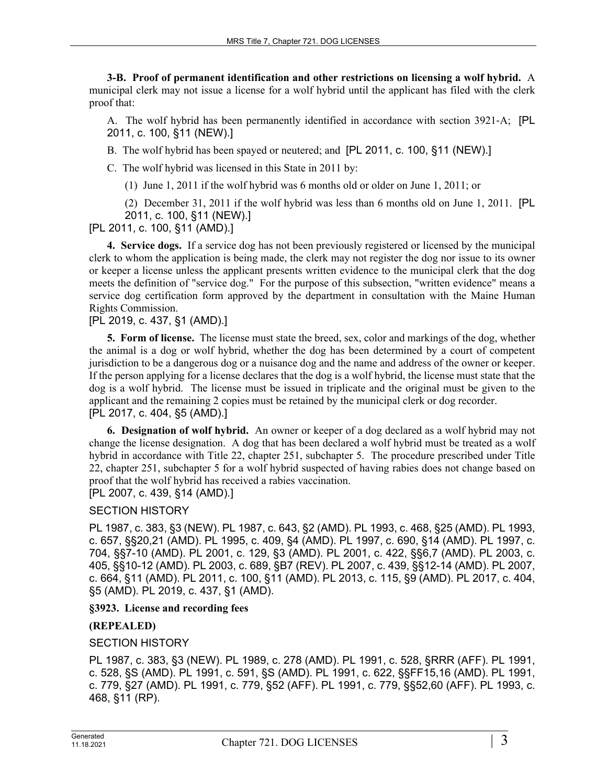**3-B. Proof of permanent identification and other restrictions on licensing a wolf hybrid.** A municipal clerk may not issue a license for a wolf hybrid until the applicant has filed with the clerk proof that:

A. The wolf hybrid has been permanently identified in accordance with section 3921–A; [PL] 2011, c. 100, §11 (NEW).]

B. The wolf hybrid has been spayed or neutered; and [PL 2011, c. 100, §11 (NEW).]

C. The wolf hybrid was licensed in this State in 2011 by:

(1) June 1, 2011 if the wolf hybrid was 6 months old or older on June 1, 2011; or

(2) December 31, 2011 if the wolf hybrid was less than 6 months old on June 1, 2011. [PL 2011, c. 100, §11 (NEW).]

[PL 2011, c. 100, §11 (AMD).]

**4. Service dogs.** If a service dog has not been previously registered or licensed by the municipal clerk to whom the application is being made, the clerk may not register the dog nor issue to its owner or keeper a license unless the applicant presents written evidence to the municipal clerk that the dog meets the definition of "service dog." For the purpose of this subsection, "written evidence" means a service dog certification form approved by the department in consultation with the Maine Human Rights Commission.

[PL 2019, c. 437, §1 (AMD).]

**5. Form of license.** The license must state the breed, sex, color and markings of the dog, whether the animal is a dog or wolf hybrid, whether the dog has been determined by a court of competent jurisdiction to be a dangerous dog or a nuisance dog and the name and address of the owner or keeper. If the person applying for a license declares that the dog is a wolf hybrid, the license must state that the dog is a wolf hybrid. The license must be issued in triplicate and the original must be given to the applicant and the remaining 2 copies must be retained by the municipal clerk or dog recorder. [PL 2017, c. 404, §5 (AMD).]

**6. Designation of wolf hybrid.** An owner or keeper of a dog declared as a wolf hybrid may not change the license designation. A dog that has been declared a wolf hybrid must be treated as a wolf hybrid in accordance with Title 22, chapter 251, subchapter 5. The procedure prescribed under Title 22, chapter 251, subchapter 5 for a wolf hybrid suspected of having rabies does not change based on proof that the wolf hybrid has received a rabies vaccination. [PL 2007, c. 439, §14 (AMD).]

#### SECTION HISTORY

PL 1987, c. 383, §3 (NEW). PL 1987, c. 643, §2 (AMD). PL 1993, c. 468, §25 (AMD). PL 1993, c. 657, §§20,21 (AMD). PL 1995, c. 409, §4 (AMD). PL 1997, c. 690, §14 (AMD). PL 1997, c. 704, §§7-10 (AMD). PL 2001, c. 129, §3 (AMD). PL 2001, c. 422, §§6,7 (AMD). PL 2003, c. 405, §§10-12 (AMD). PL 2003, c. 689, §B7 (REV). PL 2007, c. 439, §§12-14 (AMD). PL 2007, c. 664, §11 (AMD). PL 2011, c. 100, §11 (AMD). PL 2013, c. 115, §9 (AMD). PL 2017, c. 404, §5 (AMD). PL 2019, c. 437, §1 (AMD).

#### **§3923. License and recording fees**

# **(REPEALED)**

#### SECTION HISTORY

PL 1987, c. 383, §3 (NEW). PL 1989, c. 278 (AMD). PL 1991, c. 528, §RRR (AFF). PL 1991, c. 528, §S (AMD). PL 1991, c. 591, §S (AMD). PL 1991, c. 622, §§FF15,16 (AMD). PL 1991, c. 779, §27 (AMD). PL 1991, c. 779, §52 (AFF). PL 1991, c. 779, §§52,60 (AFF). PL 1993, c. 468, §11 (RP).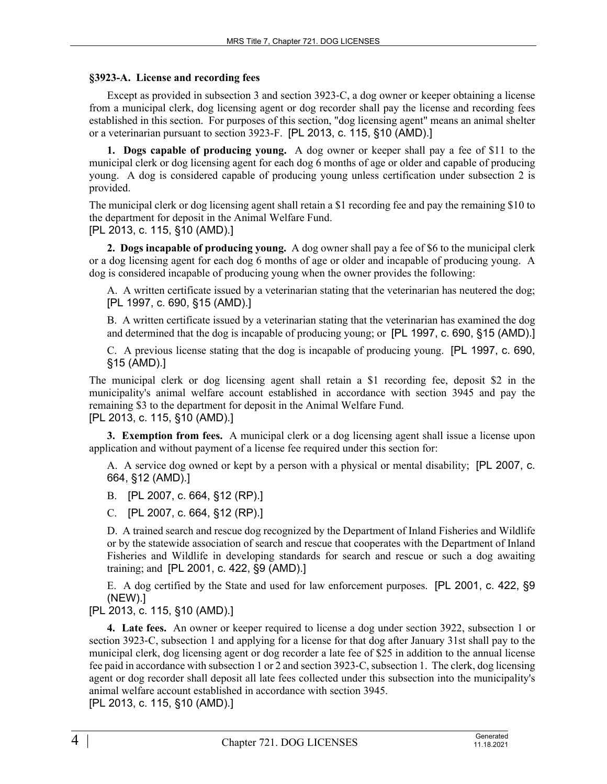#### **§3923-A. License and recording fees**

Except as provided in subsection 3 and section 3923‑C, a dog owner or keeper obtaining a license from a municipal clerk, dog licensing agent or dog recorder shall pay the license and recording fees established in this section. For purposes of this section, "dog licensing agent" means an animal shelter or a veterinarian pursuant to section 3923-F. [PL 2013, c. 115, §10 (AMD).]

**1. Dogs capable of producing young.** A dog owner or keeper shall pay a fee of \$11 to the municipal clerk or dog licensing agent for each dog 6 months of age or older and capable of producing young. A dog is considered capable of producing young unless certification under subsection 2 is provided.

The municipal clerk or dog licensing agent shall retain a \$1 recording fee and pay the remaining \$10 to the department for deposit in the Animal Welfare Fund. [PL 2013, c. 115, §10 (AMD).]

**2. Dogs incapable of producing young.** A dog owner shall pay a fee of \$6 to the municipal clerk or a dog licensing agent for each dog 6 months of age or older and incapable of producing young. A dog is considered incapable of producing young when the owner provides the following:

A. A written certificate issued by a veterinarian stating that the veterinarian has neutered the dog; [PL 1997, c. 690, §15 (AMD).]

B. A written certificate issued by a veterinarian stating that the veterinarian has examined the dog and determined that the dog is incapable of producing young; or [PL 1997, c. 690, §15 (AMD).]

C. A previous license stating that the dog is incapable of producing young. [PL 1997, c. 690, §15 (AMD).]

The municipal clerk or dog licensing agent shall retain a \$1 recording fee, deposit \$2 in the municipality's animal welfare account established in accordance with section 3945 and pay the remaining \$3 to the department for deposit in the Animal Welfare Fund. [PL 2013, c. 115, §10 (AMD).]

**3. Exemption from fees.** A municipal clerk or a dog licensing agent shall issue a license upon application and without payment of a license fee required under this section for:

A. A service dog owned or kept by a person with a physical or mental disability; [PL 2007, c. 664, §12 (AMD).]

B. [PL 2007, c. 664, §12 (RP).]

C. [PL 2007, c. 664, §12 (RP).]

D. A trained search and rescue dog recognized by the Department of Inland Fisheries and Wildlife or by the statewide association of search and rescue that cooperates with the Department of Inland Fisheries and Wildlife in developing standards for search and rescue or such a dog awaiting training; and [PL 2001, c. 422, §9 (AMD).]

E. A dog certified by the State and used for law enforcement purposes. [PL 2001, c. 422, §9 (NEW).]

[PL 2013, c. 115, §10 (AMD).]

**4. Late fees.** An owner or keeper required to license a dog under section 3922, subsection 1 or section 3923–C, subsection 1 and applying for a license for that dog after January 31st shall pay to the municipal clerk, dog licensing agent or dog recorder a late fee of \$25 in addition to the annual license fee paid in accordance with subsection 1 or 2 and section 3923‑C, subsection 1. The clerk, dog licensing agent or dog recorder shall deposit all late fees collected under this subsection into the municipality's animal welfare account established in accordance with section 3945.

[PL 2013, c. 115, §10 (AMD).]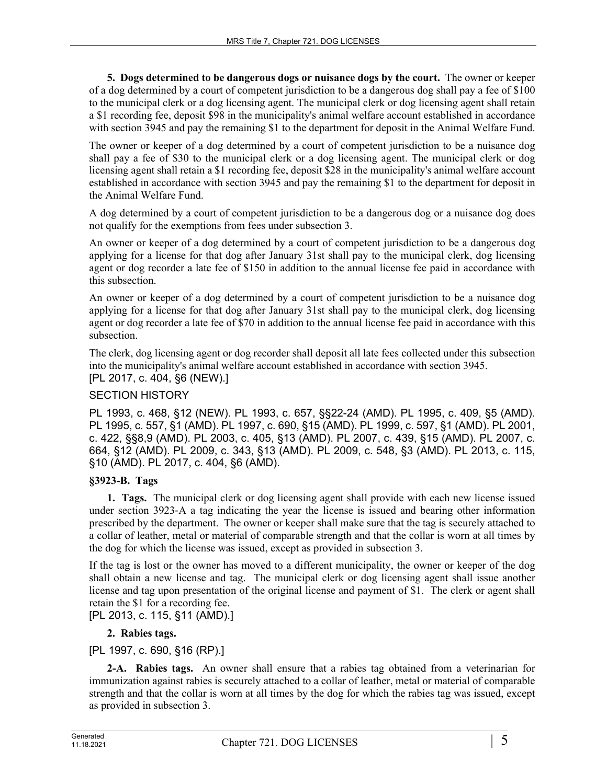**5. Dogs determined to be dangerous dogs or nuisance dogs by the court.** The owner or keeper of a dog determined by a court of competent jurisdiction to be a dangerous dog shall pay a fee of \$100 to the municipal clerk or a dog licensing agent. The municipal clerk or dog licensing agent shall retain a \$1 recording fee, deposit \$98 in the municipality's animal welfare account established in accordance with section 3945 and pay the remaining \$1 to the department for deposit in the Animal Welfare Fund.

The owner or keeper of a dog determined by a court of competent jurisdiction to be a nuisance dog shall pay a fee of \$30 to the municipal clerk or a dog licensing agent. The municipal clerk or dog licensing agent shall retain a \$1 recording fee, deposit \$28 in the municipality's animal welfare account established in accordance with section 3945 and pay the remaining \$1 to the department for deposit in the Animal Welfare Fund.

A dog determined by a court of competent jurisdiction to be a dangerous dog or a nuisance dog does not qualify for the exemptions from fees under subsection 3.

An owner or keeper of a dog determined by a court of competent jurisdiction to be a dangerous dog applying for a license for that dog after January 31st shall pay to the municipal clerk, dog licensing agent or dog recorder a late fee of \$150 in addition to the annual license fee paid in accordance with this subsection.

An owner or keeper of a dog determined by a court of competent jurisdiction to be a nuisance dog applying for a license for that dog after January 31st shall pay to the municipal clerk, dog licensing agent or dog recorder a late fee of \$70 in addition to the annual license fee paid in accordance with this subsection.

The clerk, dog licensing agent or dog recorder shall deposit all late fees collected under this subsection into the municipality's animal welfare account established in accordance with section 3945. [PL 2017, c. 404, §6 (NEW).]

# SECTION HISTORY

PL 1993, c. 468, §12 (NEW). PL 1993, c. 657, §§22-24 (AMD). PL 1995, c. 409, §5 (AMD). PL 1995, c. 557, §1 (AMD). PL 1997, c. 690, §15 (AMD). PL 1999, c. 597, §1 (AMD). PL 2001, c. 422, §§8,9 (AMD). PL 2003, c. 405, §13 (AMD). PL 2007, c. 439, §15 (AMD). PL 2007, c. 664, §12 (AMD). PL 2009, c. 343, §13 (AMD). PL 2009, c. 548, §3 (AMD). PL 2013, c. 115, §10 (AMD). PL 2017, c. 404, §6 (AMD).

# **§3923-B. Tags**

**1. Tags.** The municipal clerk or dog licensing agent shall provide with each new license issued under section 3923‑A a tag indicating the year the license is issued and bearing other information prescribed by the department. The owner or keeper shall make sure that the tag is securely attached to a collar of leather, metal or material of comparable strength and that the collar is worn at all times by the dog for which the license was issued, except as provided in subsection 3.

If the tag is lost or the owner has moved to a different municipality, the owner or keeper of the dog shall obtain a new license and tag. The municipal clerk or dog licensing agent shall issue another license and tag upon presentation of the original license and payment of \$1. The clerk or agent shall retain the \$1 for a recording fee.

[PL 2013, c. 115, §11 (AMD).]

# **2. Rabies tags.**

# [PL 1997, c. 690, §16 (RP).]

**2-A. Rabies tags.** An owner shall ensure that a rabies tag obtained from a veterinarian for immunization against rabies is securely attached to a collar of leather, metal or material of comparable strength and that the collar is worn at all times by the dog for which the rabies tag was issued, except as provided in subsection 3.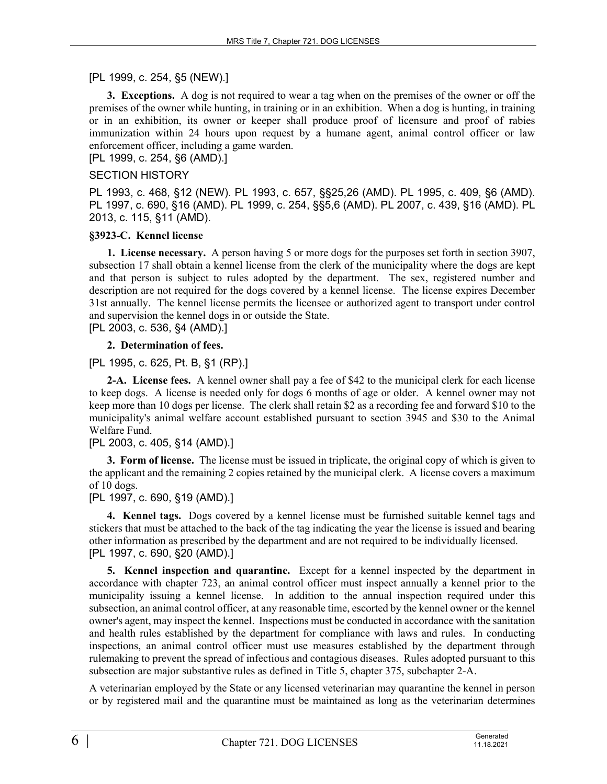# [PL 1999, c. 254, §5 (NEW).]

**3. Exceptions.** A dog is not required to wear a tag when on the premises of the owner or off the premises of the owner while hunting, in training or in an exhibition. When a dog is hunting, in training or in an exhibition, its owner or keeper shall produce proof of licensure and proof of rabies immunization within 24 hours upon request by a humane agent, animal control officer or law enforcement officer, including a game warden.

# [PL 1999, c. 254, §6 (AMD).]

#### SECTION HISTORY

PL 1993, c. 468, §12 (NEW). PL 1993, c. 657, §§25,26 (AMD). PL 1995, c. 409, §6 (AMD). PL 1997, c. 690, §16 (AMD). PL 1999, c. 254, §§5,6 (AMD). PL 2007, c. 439, §16 (AMD). PL 2013, c. 115, §11 (AMD).

#### **§3923-C. Kennel license**

**1. License necessary.** A person having 5 or more dogs for the purposes set forth in section 3907, subsection 17 shall obtain a kennel license from the clerk of the municipality where the dogs are kept and that person is subject to rules adopted by the department. The sex, registered number and description are not required for the dogs covered by a kennel license. The license expires December 31st annually. The kennel license permits the licensee or authorized agent to transport under control and supervision the kennel dogs in or outside the State.

[PL 2003, c. 536, §4 (AMD).]

## **2. Determination of fees.**

[PL 1995, c. 625, Pt. B, §1 (RP).]

**2-A. License fees.** A kennel owner shall pay a fee of \$42 to the municipal clerk for each license to keep dogs. A license is needed only for dogs 6 months of age or older. A kennel owner may not keep more than 10 dogs per license. The clerk shall retain \$2 as a recording fee and forward \$10 to the municipality's animal welfare account established pursuant to section 3945 and \$30 to the Animal Welfare Fund.

# [PL 2003, c. 405, §14 (AMD).]

**3. Form of license.** The license must be issued in triplicate, the original copy of which is given to the applicant and the remaining 2 copies retained by the municipal clerk. A license covers a maximum of 10 dogs.

# [PL 1997, c. 690, §19 (AMD).]

**4. Kennel tags.** Dogs covered by a kennel license must be furnished suitable kennel tags and stickers that must be attached to the back of the tag indicating the year the license is issued and bearing other information as prescribed by the department and are not required to be individually licensed. [PL 1997, c. 690, §20 (AMD).]

**5. Kennel inspection and quarantine.** Except for a kennel inspected by the department in accordance with chapter 723, an animal control officer must inspect annually a kennel prior to the municipality issuing a kennel license. In addition to the annual inspection required under this subsection, an animal control officer, at any reasonable time, escorted by the kennel owner or the kennel owner's agent, may inspect the kennel. Inspections must be conducted in accordance with the sanitation and health rules established by the department for compliance with laws and rules. In conducting inspections, an animal control officer must use measures established by the department through rulemaking to prevent the spread of infectious and contagious diseases. Rules adopted pursuant to this subsection are major substantive rules as defined in Title 5, chapter 375, subchapter 2-A.

A veterinarian employed by the State or any licensed veterinarian may quarantine the kennel in person or by registered mail and the quarantine must be maintained as long as the veterinarian determines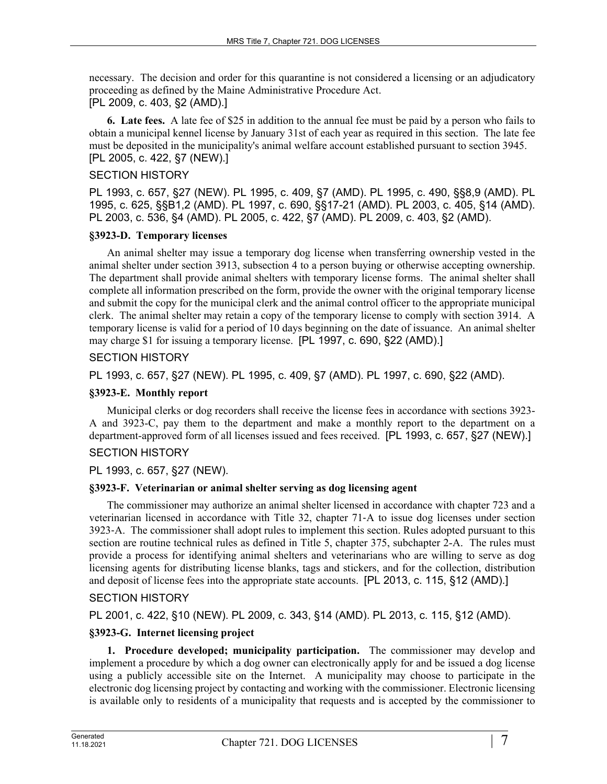necessary. The decision and order for this quarantine is not considered a licensing or an adjudicatory proceeding as defined by the Maine Administrative Procedure Act. [PL 2009, c. 403, §2 (AMD).]

**6. Late fees.** A late fee of \$25 in addition to the annual fee must be paid by a person who fails to obtain a municipal kennel license by January 31st of each year as required in this section. The late fee must be deposited in the municipality's animal welfare account established pursuant to section 3945. [PL 2005, c. 422, §7 (NEW).]

# SECTION HISTORY

PL 1993, c. 657, §27 (NEW). PL 1995, c. 409, §7 (AMD). PL 1995, c. 490, §§8,9 (AMD). PL 1995, c. 625, §§B1,2 (AMD). PL 1997, c. 690, §§17-21 (AMD). PL 2003, c. 405, §14 (AMD). PL 2003, c. 536, §4 (AMD). PL 2005, c. 422, §7 (AMD). PL 2009, c. 403, §2 (AMD).

## **§3923-D. Temporary licenses**

An animal shelter may issue a temporary dog license when transferring ownership vested in the animal shelter under section 3913, subsection 4 to a person buying or otherwise accepting ownership. The department shall provide animal shelters with temporary license forms. The animal shelter shall complete all information prescribed on the form, provide the owner with the original temporary license and submit the copy for the municipal clerk and the animal control officer to the appropriate municipal clerk. The animal shelter may retain a copy of the temporary license to comply with section 3914. A temporary license is valid for a period of 10 days beginning on the date of issuance. An animal shelter may charge \$1 for issuing a temporary license. [PL 1997, c. 690, §22 (AMD).]

## SECTION HISTORY

PL 1993, c. 657, §27 (NEW). PL 1995, c. 409, §7 (AMD). PL 1997, c. 690, §22 (AMD).

# **§3923-E. Monthly report**

Municipal clerks or dog recorders shall receive the license fees in accordance with sections 3923- A and 3923-C, pay them to the department and make a monthly report to the department on a department-approved form of all licenses issued and fees received. [PL 1993, c. 657, §27 (NEW).]

# SECTION HISTORY

#### PL 1993, c. 657, §27 (NEW).

#### **§3923-F. Veterinarian or animal shelter serving as dog licensing agent**

The commissioner may authorize an animal shelter licensed in accordance with chapter 723 and a veterinarian licensed in accordance with Title 32, chapter 71‑A to issue dog licenses under section 3923‑A. The commissioner shall adopt rules to implement this section. Rules adopted pursuant to this section are routine technical rules as defined in Title 5, chapter 375, subchapter 2-A. The rules must provide a process for identifying animal shelters and veterinarians who are willing to serve as dog licensing agents for distributing license blanks, tags and stickers, and for the collection, distribution and deposit of license fees into the appropriate state accounts. [PL 2013, c. 115, §12 (AMD).]

# SECTION HISTORY

PL 2001, c. 422, §10 (NEW). PL 2009, c. 343, §14 (AMD). PL 2013, c. 115, §12 (AMD).

# **§3923-G. Internet licensing project**

**1. Procedure developed; municipality participation.** The commissioner may develop and implement a procedure by which a dog owner can electronically apply for and be issued a dog license using a publicly accessible site on the Internet. A municipality may choose to participate in the electronic dog licensing project by contacting and working with the commissioner. Electronic licensing is available only to residents of a municipality that requests and is accepted by the commissioner to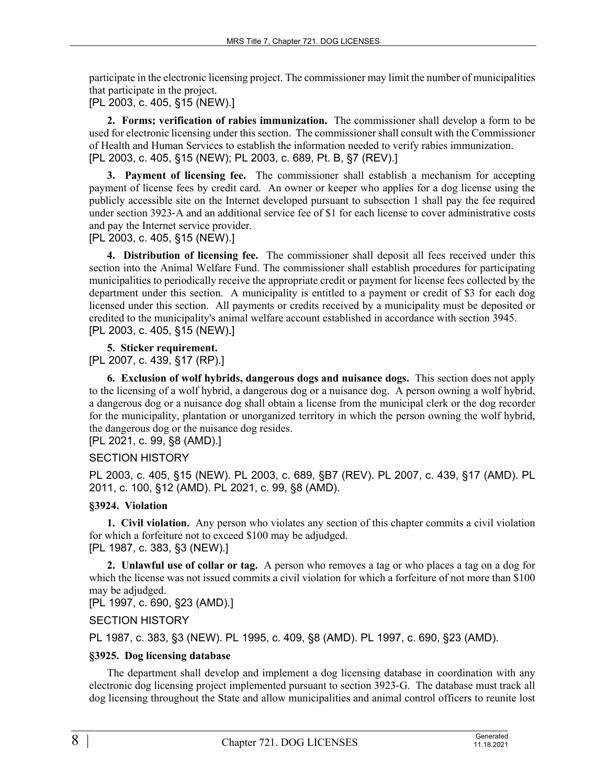participate in the electronic licensing project. The commissioner may limit the number of municipalities that participate in the project.

[PL 2003, c. 405, §15 (NEW).]

**2. Forms; verification of rabies immunization.** The commissioner shall develop a form to be used for electronic licensing under this section. The commissioner shall consult with the Commissioner of Health and Human Services to establish the information needed to verify rabies immunization. [PL 2003, c. 405, §15 (NEW); PL 2003, c. 689, Pt. B, §7 (REV).]

**3. Payment of licensing fee.** The commissioner shall establish a mechanism for accepting payment of license fees by credit card. An owner or keeper who applies for a dog license using the publicly accessible site on the Internet developed pursuant to subsection 1 shall pay the fee required under section 3923‑A and an additional service fee of \$1 for each license to cover administrative costs and pay the Internet service provider.

[PL 2003, c. 405, §15 (NEW).]

**4. Distribution of licensing fee.** The commissioner shall deposit all fees received under this section into the Animal Welfare Fund. The commissioner shall establish procedures for participating municipalities to periodically receive the appropriate credit or payment for license fees collected by the department under this section. A municipality is entitled to a payment or credit of \$3 for each dog licensed under this section. All payments or credits received by a municipality must be deposited or credited to the municipality's animal welfare account established in accordance with section 3945. [PL 2003, c. 405, §15 (NEW).]

**5. Sticker requirement.**  [PL 2007, c. 439, §17 (RP).]

**6. Exclusion of wolf hybrids, dangerous dogs and nuisance dogs.** This section does not apply to the licensing of a wolf hybrid, a dangerous dog or a nuisance dog. A person owning a wolf hybrid, a dangerous dog or a nuisance dog shall obtain a license from the municipal clerk or the dog recorder for the municipality, plantation or unorganized territory in which the person owning the wolf hybrid, the dangerous dog or the nuisance dog resides.

[PL 2021, c. 99, §8 (AMD).]

# SECTION HISTORY

PL 2003, c. 405, §15 (NEW). PL 2003, c. 689, §B7 (REV). PL 2007, c. 439, §17 (AMD). PL 2011, c. 100, §12 (AMD). PL 2021, c. 99, §8 (AMD).

# **§3924. Violation**

**1. Civil violation.** Any person who violates any section of this chapter commits a civil violation for which a forfeiture not to exceed \$100 may be adjudged. [PL 1987, c. 383, §3 (NEW).]

**2. Unlawful use of collar or tag.** A person who removes a tag or who places a tag on a dog for which the license was not issued commits a civil violation for which a forfeiture of not more than \$100 may be adjudged.

[PL 1997, c. 690, §23 (AMD).]

# SECTION HISTORY

PL 1987, c. 383, §3 (NEW). PL 1995, c. 409, §8 (AMD). PL 1997, c. 690, §23 (AMD).

# **§3925. Dog licensing database**

The department shall develop and implement a dog licensing database in coordination with any electronic dog licensing project implemented pursuant to section 3923‑G. The database must track all dog licensing throughout the State and allow municipalities and animal control officers to reunite lost